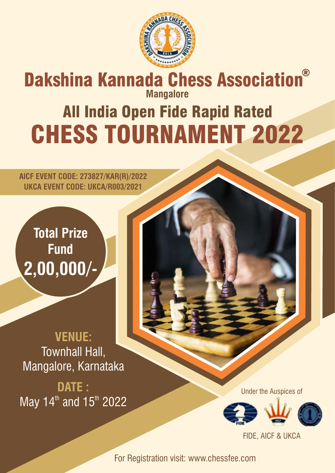

# **Mangalore** All India Open Fide Rapid Rated CHESS TOURNAMENT 2022 Dakshina Kannada Chess Association®

**AICF EVENT CODE: 273827/KAR(R)/2022 UKCA EVENT CODE: UKCA/R003/2021**

**Total Prize Fund 2,00,000/-**

**VENUE:** Townhall Hall, Mangalore, Karnataka

**DATE :** May 14<sup>th</sup> and 15<sup>th</sup> 2022

Under the Auspices of



FIDE, AICF & UKCA

For Registration visit: www.chessfee.com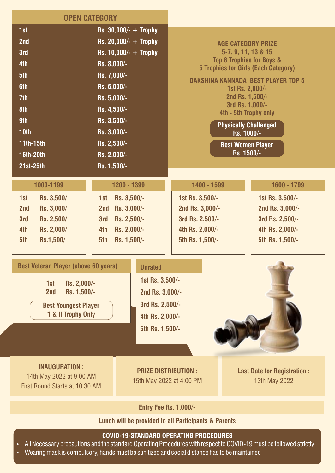| <b>OPEN CATEGORY</b>                                                                                                                                                                                                                                                |                                                                                                                                                                                                                                     |                                                                                                               |                                                                                                                                                                                                                                                                                                                                                                |             |                                                                                             |
|---------------------------------------------------------------------------------------------------------------------------------------------------------------------------------------------------------------------------------------------------------------------|-------------------------------------------------------------------------------------------------------------------------------------------------------------------------------------------------------------------------------------|---------------------------------------------------------------------------------------------------------------|----------------------------------------------------------------------------------------------------------------------------------------------------------------------------------------------------------------------------------------------------------------------------------------------------------------------------------------------------------------|-------------|---------------------------------------------------------------------------------------------|
| 1st<br>2nd<br>3rd<br>4th<br>5th<br>6th<br>7th<br>8th<br>9th<br>10 <sub>th</sub><br>11th-15th<br><b>16th-20th</b><br>21st-25th                                                                                                                                       | Rs. $30,000/- +$ Trophy<br>Rs. 20,000/- $+$ Trophy<br>Rs. $10,000/- +$ Trophy<br>Rs. 8,000/-<br>Rs. 7,000/-<br>Rs. 6,000/-<br>Rs. 5,000/-<br>Rs. 4,500/-<br>Rs. 3,500/-<br>Rs. 3,000/-<br>Rs. 2,500/-<br>Rs. 2,000/-<br>Rs. 1,500/- |                                                                                                               | <b>AGE CATEGORY PRIZE</b><br>5-7, 9, 11, 13 & 15<br><b>Top 8 Trophies for Boys &amp;</b><br><b>5 Trophies for Girls (Each Category)</b><br><b>DAKSHINA KANNADA BEST PLAYER TOP 5</b><br>1st Rs. 2,000/-<br>2nd Rs. 1,500/-<br>3rd Rs. 1,000/-<br>4th - 5th Trophy only<br><b>Physically Challenged</b><br>Rs. 1000/-<br><b>Best Women Player</b><br>Rs. 1500/- |             |                                                                                             |
| 1000-1199                                                                                                                                                                                                                                                           | 1200 - 1399                                                                                                                                                                                                                         |                                                                                                               |                                                                                                                                                                                                                                                                                                                                                                | 1400 - 1599 | 1600 - 1799                                                                                 |
| 1st<br>Rs. 3,500/<br>Rs. 3,000/<br>2nd<br>3rd<br>Rs. 2,500/<br>Rs. 2,000/<br>4th<br>5th<br>Rs.1,500/<br><b>Best Veteran Player (above 60 years)</b><br>1st<br>Rs. 2,000/-<br>Rs. 1,500/-<br>2nd<br><b>Best Youngest Player</b><br>1 & II Trophy Only                | Rs. 3,500/-<br>1st<br>Rs. 3,000/-<br>2nd<br>Rs. 2,500/-<br>3rd<br>Rs. 2,000/-<br>4th<br>5th<br>Rs. 1,500/-                                                                                                                          | <b>Unrated</b><br>1st Rs. 3,500/-<br>2nd Rs. 3,000/-<br>3rd Rs. 2,500/-<br>4th Rs. 2,000/-<br>5th Rs. 1,500/- | 1st Rs. 3,500/-<br>2nd Rs. 3,000/-<br>3rd Rs. 2,500/-<br>4th Rs. 2,000/-<br>5th Rs. 1,500/-                                                                                                                                                                                                                                                                    |             | 1st Rs. 3,500/-<br>2nd Rs. 3,000/-<br>3rd Rs. 2,500/-<br>4th Rs. 2,000/-<br>5th Rs. 1,500/- |
| <b>INAUGURATION:</b><br>14th May 2022 at 9:00 AM<br>First Round Starts at 10.30 AM                                                                                                                                                                                  |                                                                                                                                                                                                                                     | <b>PRIZE DISTRIBUTION:</b><br>15th May 2022 at 4:00 PM                                                        |                                                                                                                                                                                                                                                                                                                                                                |             | <b>Last Date for Registration:</b><br>13th May 2022                                         |
| <b>Entry Fee Rs. 1,000/-</b>                                                                                                                                                                                                                                        |                                                                                                                                                                                                                                     |                                                                                                               |                                                                                                                                                                                                                                                                                                                                                                |             |                                                                                             |
| Lunch will be provided to all Participants & Parents                                                                                                                                                                                                                |                                                                                                                                                                                                                                     |                                                                                                               |                                                                                                                                                                                                                                                                                                                                                                |             |                                                                                             |
| <b>COVID-19-STANDARD OPERATING PROCEDURES</b><br>All Necessary precautions and the standard Operating Procedures with respect to COVID-19 must be followed strictly<br>Wearing mask is compulsory, hands must be sanitized and social distance has to be maintained |                                                                                                                                                                                                                                     |                                                                                                               |                                                                                                                                                                                                                                                                                                                                                                |             |                                                                                             |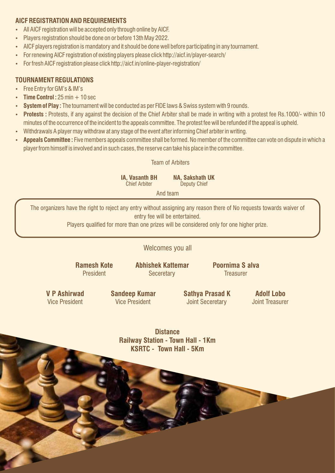### **AICF REGISTRATION AND REQUIREMENTS**

- All AICF registration will be accepted only through online by AICF.
- Players registration should be done on or before 13th May 2022.
- AICF players registration is mandatory and it should be done well before participating in any tournament.
- For renewing AICF registration of existing players please click http://aicf.in/player-search/
- For fresh AICF registration please click http://aicf.in/online-player-registration/

### **TOURNAMENT REGULATIONS**

- Free Entry for GM's & IM's
- $\cdot$  **Time Control :** 25 min  $+$  10 sec
- **System of Play :** The tournament will be conducted as per FIDE laws & Swiss system with 9 rounds.
- Protests: Protests, if any against the decision of the Chief Arbiter shall be made in writing with a protest fee Rs.1000/- within 10 minutes of the occurrence of the incident to the appeals committee. The protest fee will be refunded if the appeal is upheld.
- Withdrawals A player may withdraw at any stage of the event after informing Chief arbiter in writing.
- Appeals Committee : Five members appeals committee shall be formed. No member of the committee can vote on dispute in which a player from himself is involved and in such cases, the reserve can take his place in the committee.

#### Team of Arbiters

**IA, Vasanth BH** Chief Arbiter **NA, Sakshath UK**

Deputy Chief

And team

The organizers have the right to reject any entry without assigning any reason there of No requests towards waiver of entry fee will be entertained.

Players qualified for more than one prizes will be considered only for one higher prize.

Welcomes you all

**Ramesh Kote President** 

**Abhishek Kattemar Seceretary** 

**Poornima S alva Treasurer** 

**V P Ashirwad**  Vice President

**Sandeep Kumar** Vice President

**Sathya Prasad K** Joint Seceretary

**Adolf Lobo** Joint Treasurer

**Distance Railway Station - Town Hall - 1Km KSRTC - Town Hall - 5Km**